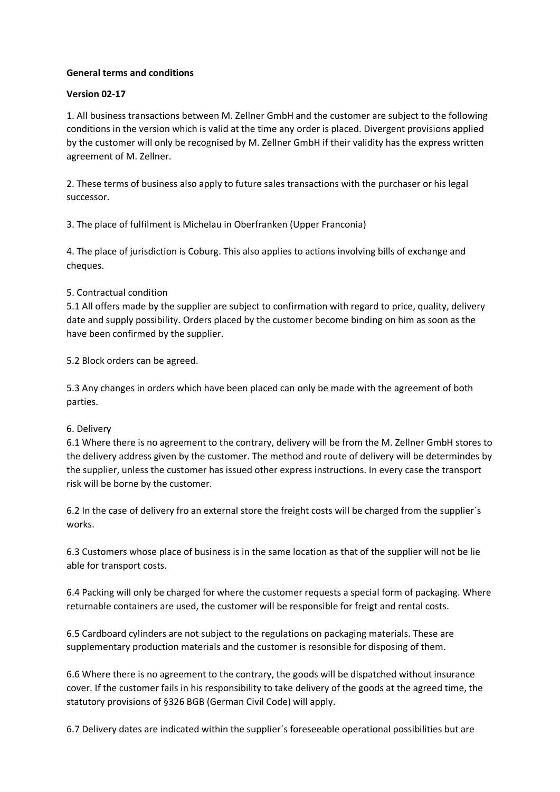## **General terms and conditions**

#### **Version 02-17**

1. All business transactions between M. Zellner GmbH and the customer are subject to the following conditions in the version which is valid at the time any order is placed. Divergent provisions applied by the customer will only be recognised by M. Zellner GmbH if their validity has the express written agreement of M. Zellner.

2. These terms of business also apply to future sales transactions with the purchaser or his legal successor.

3. The place of fulfilment is Michelau in Oberfranken (Upper Franconia)

4. The place of jurisdiction is Coburg. This also applies to actions involving bills of exchange and cheques.

## 5. Contractual condition

5.1 All offers made by the supplier are subject to confirmation with regard to price, quality, delivery date and supply possibility. Orders placed by the customer become binding on him as soon as the have been confirmed by the supplier.

5.2 Block orders can be agreed.

5.3 Any changes in orders which have been placed can only be made with the agreement of both parties.

#### 6. Delivery

6.1 Where there is no agreement to the contrary, delivery will be from the M. Zellner GmbH stores to the delivery address given by the customer. The method and route of delivery will be determindes by the supplier, unless the customer has issued other express instructions. In every case the transport risk will be borne by the customer.

6.2 In the case of delivery fro an external store the freight costs will be charged from the supplier´s works.

6.3 Customers whose place of business is in the same location as that of the supplier will not be lie able for transport costs.

6.4 Packing will only be charged for where the customer requests a special form of packaging. Where returnable containers are used, the customer will be responsible for freigt and rental costs.

6.5 Cardboard cylinders are not subject to the regulations on packaging materials. These are supplementary production materials and the customer is resonsible for disposing of them.

6.6 Where there is no agreement to the contrary, the goods will be dispatched without insurance cover. If the customer fails in his responsibility to take delivery of the goods at the agreed time, the statutory provisions of §326 BGB (German Civil Code) will apply.

6.7 Delivery dates are indicated within the supplier´s foreseeable operational possibilities but are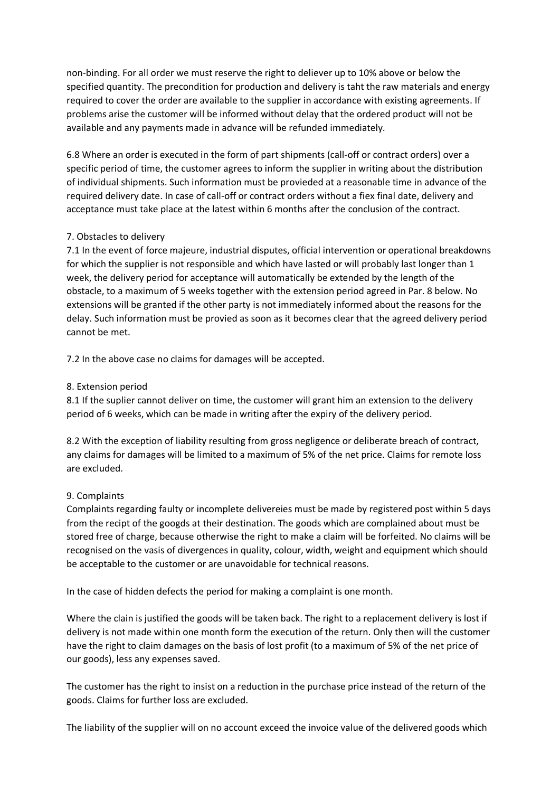non-binding. For all order we must reserve the right to deliever up to 10% above or below the specified quantity. The precondition for production and delivery is taht the raw materials and energy required to cover the order are available to the supplier in accordance with existing agreements. If problems arise the customer will be informed without delay that the ordered product will not be available and any payments made in advance will be refunded immediately.

6.8 Where an order is executed in the form of part shipments (call-off or contract orders) over a specific period of time, the customer agrees to inform the supplier in writing about the distribution of individual shipments. Such information must be provieded at a reasonable time in advance of the required delivery date. In case of call-off or contract orders without a fiex final date, delivery and acceptance must take place at the latest within 6 months after the conclusion of the contract.

# 7. Obstacles to delivery

7.1 In the event of force majeure, industrial disputes, official intervention or operational breakdowns for which the supplier is not responsible and which have lasted or will probably last longer than 1 week, the delivery period for acceptance will automatically be extended by the length of the obstacle, to a maximum of 5 weeks together with the extension period agreed in Par. 8 below. No extensions will be granted if the other party is not immediately informed about the reasons for the delay. Such information must be provied as soon as it becomes clear that the agreed delivery period cannot be met.

7.2 In the above case no claims for damages will be accepted.

## 8. Extension period

8.1 If the suplier cannot deliver on time, the customer will grant him an extension to the delivery period of 6 weeks, which can be made in writing after the expiry of the delivery period.

8.2 With the exception of liability resulting from gross negligence or deliberate breach of contract, any claims for damages will be limited to a maximum of 5% of the net price. Claims for remote loss are excluded.

#### 9. Complaints

Complaints regarding faulty or incomplete delivereies must be made by registered post within 5 days from the recipt of the googds at their destination. The goods which are complained about must be stored free of charge, because otherwise the right to make a claim will be forfeited. No claims will be recognised on the vasis of divergences in quality, colour, width, weight and equipment which should be acceptable to the customer or are unavoidable for technical reasons.

In the case of hidden defects the period for making a complaint is one month.

Where the clain is justified the goods will be taken back. The right to a replacement delivery is lost if delivery is not made within one month form the execution of the return. Only then will the customer have the right to claim damages on the basis of lost profit (to a maximum of 5% of the net price of our goods), less any expenses saved.

The customer has the right to insist on a reduction in the purchase price instead of the return of the goods. Claims for further loss are excluded.

The liability of the supplier will on no account exceed the invoice value of the delivered goods which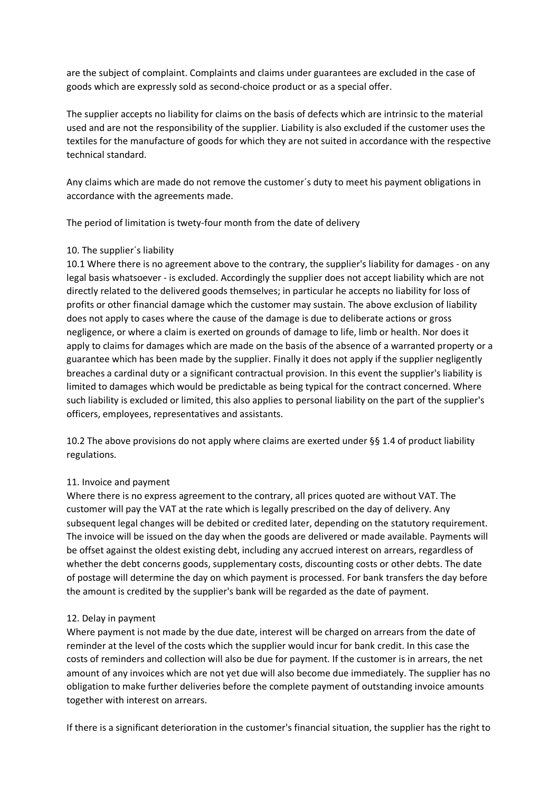are the subject of complaint. Complaints and claims under guarantees are excluded in the case of goods which are expressly sold as second-choice product or as a special offer.

The supplier accepts no liability for claims on the basis of defects which are intrinsic to the material used and are not the responsibility of the supplier. Liability is also excluded if the customer uses the textiles for the manufacture of goods for which they are not suited in accordance with the respective technical standard.

Any claims which are made do not remove the customer´s duty to meet his payment obligations in accordance with the agreements made.

The period of limitation is twety-four month from the date of delivery

## 10. The supplier´s liability

10.1 Where there is no agreement above to the contrary, the supplier's liability for damages - on any legal basis whatsoever - is excluded. Accordingly the supplier does not accept liability which are not directly related to the delivered goods themselves; in particular he accepts no liability for loss of profits or other financial damage which the customer may sustain. The above exclusion of liability does not apply to cases where the cause of the damage is due to deliberate actions or gross negligence, or where a claim is exerted on grounds of damage to life, limb or health. Nor does it apply to claims for damages which are made on the basis of the absence of a warranted property or a guarantee which has been made by the supplier. Finally it does not apply if the supplier negligently breaches a cardinal duty or a significant contractual provision. In this event the supplier's liability is limited to damages which would be predictable as being typical for the contract concerned. Where such liability is excluded or limited, this also applies to personal liability on the part of the supplier's officers, employees, representatives and assistants.

10.2 The above provisions do not apply where claims are exerted under §§ 1.4 of product liability regulations.

# 11. Invoice and payment

Where there is no express agreement to the contrary, all prices quoted are without VAT. The customer will pay the VAT at the rate which is legally prescribed on the day of delivery. Any subsequent legal changes will be debited or credited later, depending on the statutory requirement. The invoice will be issued on the day when the goods are delivered or made available. Payments will be offset against the oldest existing debt, including any accrued interest on arrears, regardless of whether the debt concerns goods, supplementary costs, discounting costs or other debts. The date of postage will determine the day on which payment is processed. For bank transfers the day before the amount is credited by the supplier's bank will be regarded as the date of payment.

# 12. Delay in payment

Where payment is not made by the due date, interest will be charged on arrears from the date of reminder at the level of the costs which the supplier would incur for bank credit. In this case the costs of reminders and collection will also be due for payment. If the customer is in arrears, the net amount of any invoices which are not yet due will also become due immediately. The supplier has no obligation to make further deliveries before the complete payment of outstanding invoice amounts together with interest on arrears.

If there is a significant deterioration in the customer's financial situation, the supplier has the right to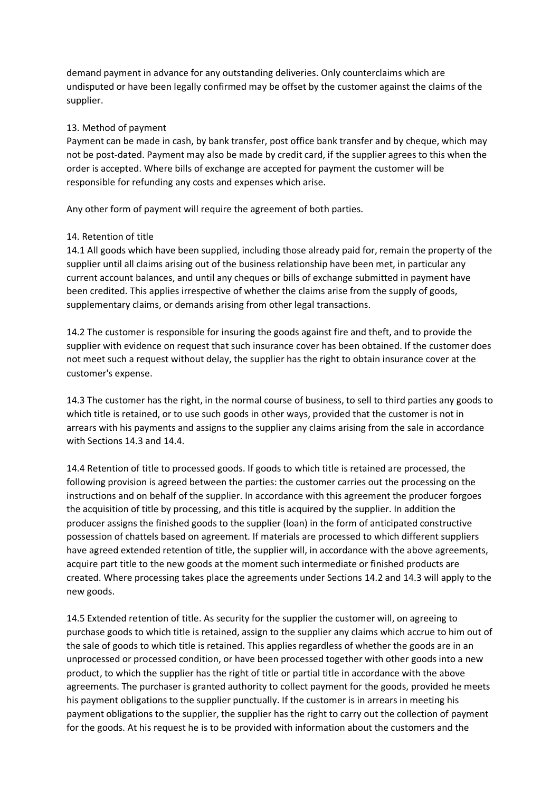demand payment in advance for any outstanding deliveries. Only counterclaims which are undisputed or have been legally confirmed may be offset by the customer against the claims of the supplier.

## 13. Method of payment

Payment can be made in cash, by bank transfer, post office bank transfer and by cheque, which may not be post-dated. Payment may also be made by credit card, if the supplier agrees to this when the order is accepted. Where bills of exchange are accepted for payment the customer will be responsible for refunding any costs and expenses which arise.

Any other form of payment will require the agreement of both parties.

## 14. Retention of title

14.1 All goods which have been supplied, including those already paid for, remain the property of the supplier until all claims arising out of the business relationship have been met, in particular any current account balances, and until any cheques or bills of exchange submitted in payment have been credited. This applies irrespective of whether the claims arise from the supply of goods, supplementary claims, or demands arising from other legal transactions.

14.2 The customer is responsible for insuring the goods against fire and theft, and to provide the supplier with evidence on request that such insurance cover has been obtained. If the customer does not meet such a request without delay, the supplier has the right to obtain insurance cover at the customer's expense.

14.3 The customer has the right, in the normal course of business, to sell to third parties any goods to which title is retained, or to use such goods in other ways, provided that the customer is not in arrears with his payments and assigns to the supplier any claims arising from the sale in accordance with Sections 14.3 and 14.4.

14.4 Retention of title to processed goods. If goods to which title is retained are processed, the following provision is agreed between the parties: the customer carries out the processing on the instructions and on behalf of the supplier. In accordance with this agreement the producer forgoes the acquisition of title by processing, and this title is acquired by the supplier. In addition the producer assigns the finished goods to the supplier (loan) in the form of anticipated constructive possession of chattels based on agreement. If materials are processed to which different suppliers have agreed extended retention of title, the supplier will, in accordance with the above agreements, acquire part title to the new goods at the moment such intermediate or finished products are created. Where processing takes place the agreements under Sections 14.2 and 14.3 will apply to the new goods.

14.5 Extended retention of title. As security for the supplier the customer will, on agreeing to purchase goods to which title is retained, assign to the supplier any claims which accrue to him out of the sale of goods to which title is retained. This applies regardless of whether the goods are in an unprocessed or processed condition, or have been processed together with other goods into a new product, to which the supplier has the right of title or partial title in accordance with the above agreements. The purchaser is granted authority to collect payment for the goods, provided he meets his payment obligations to the supplier punctually. If the customer is in arrears in meeting his payment obligations to the supplier, the supplier has the right to carry out the collection of payment for the goods. At his request he is to be provided with information about the customers and the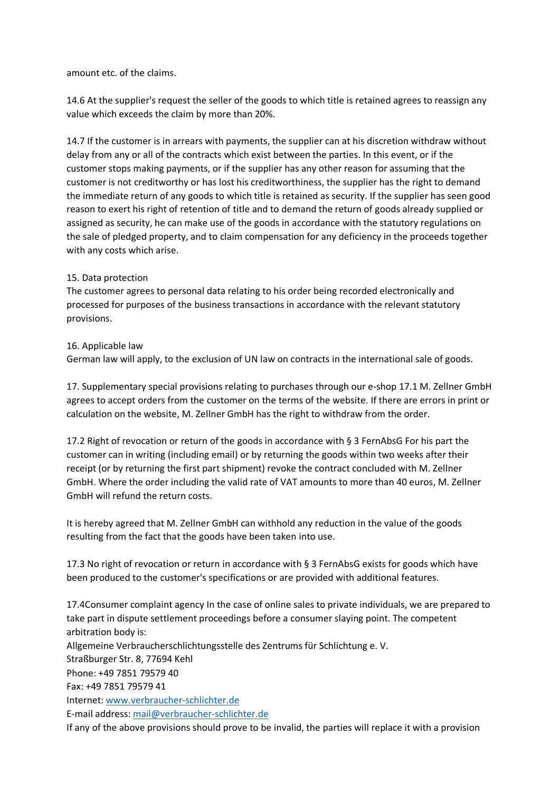amount etc. of the claims.

14.6 At the supplier's request the seller of the goods to which title is retained agrees to reassign any value which exceeds the claim by more than 20%.

14.7 If the customer is in arrears with payments, the supplier can at his discretion withdraw without delay from any or all of the contracts which exist between the parties. In this event, or if the customer stops making payments, or if the supplier has any other reason for assuming that the customer is not creditworthy or has lost his creditworthiness, the supplier has the right to demand the immediate return of any goods to which title is retained as security. If the supplier has seen good reason to exert his right of retention of title and to demand the return of goods already supplied or assigned as security, he can make use of the goods in accordance with the statutory regulations on the sale of pledged property, and to claim compensation for any deficiency in the proceeds together with any costs which arise.

## 15. Data protection

The customer agrees to personal data relating to his order being recorded electronically and processed for purposes of the business transactions in accordance with the relevant statutory provisions.

## 16. Applicable law

German law will apply, to the exclusion of UN law on contracts in the international sale of goods.

17. Supplementary special provisions relating to purchases through our e-shop 17.1 M. Zellner GmbH agrees to accept orders from the customer on the terms of the website. If there are errors in print or calculation on the website, M. Zellner GmbH has the right to withdraw from the order.

17.2 Right of revocation or return of the goods in accordance with § 3 FernAbsG For his part the customer can in writing (including email) or by returning the goods within two weeks after their receipt (or by returning the first part shipment) revoke the contract concluded with M. Zellner GmbH. Where the order including the valid rate of VAT amounts to more than 40 euros, M. Zellner GmbH will refund the return costs.

It is hereby agreed that M. Zellner GmbH can withhold any reduction in the value of the goods resulting from the fact that the goods have been taken into use.

17.3 No right of revocation or return in accordance with § 3 FernAbsG exists for goods which have been produced to the customer's specifications or are provided with additional features.

17.4Consumer complaint agency In the case of online sales to private individuals, we are prepared to take part in dispute settlement proceedings before a consumer slaying point. The competent arbitration body is: Allgemeine Verbraucherschlichtungsstelle des Zentrums für Schlichtung e. V. Straßburger Str. 8, 77694 Kehl Phone: +49 7851 79579 40 Fax: +49 7851 79579 41 Internet: www.verbraucher-schlichter.de E-mail address: [mail@verbraucher-schlichter.de](mailto:mail@verbraucher-schlichter.de) If any of the above provisions should prove to be invalid, the parties will replace it with a provision